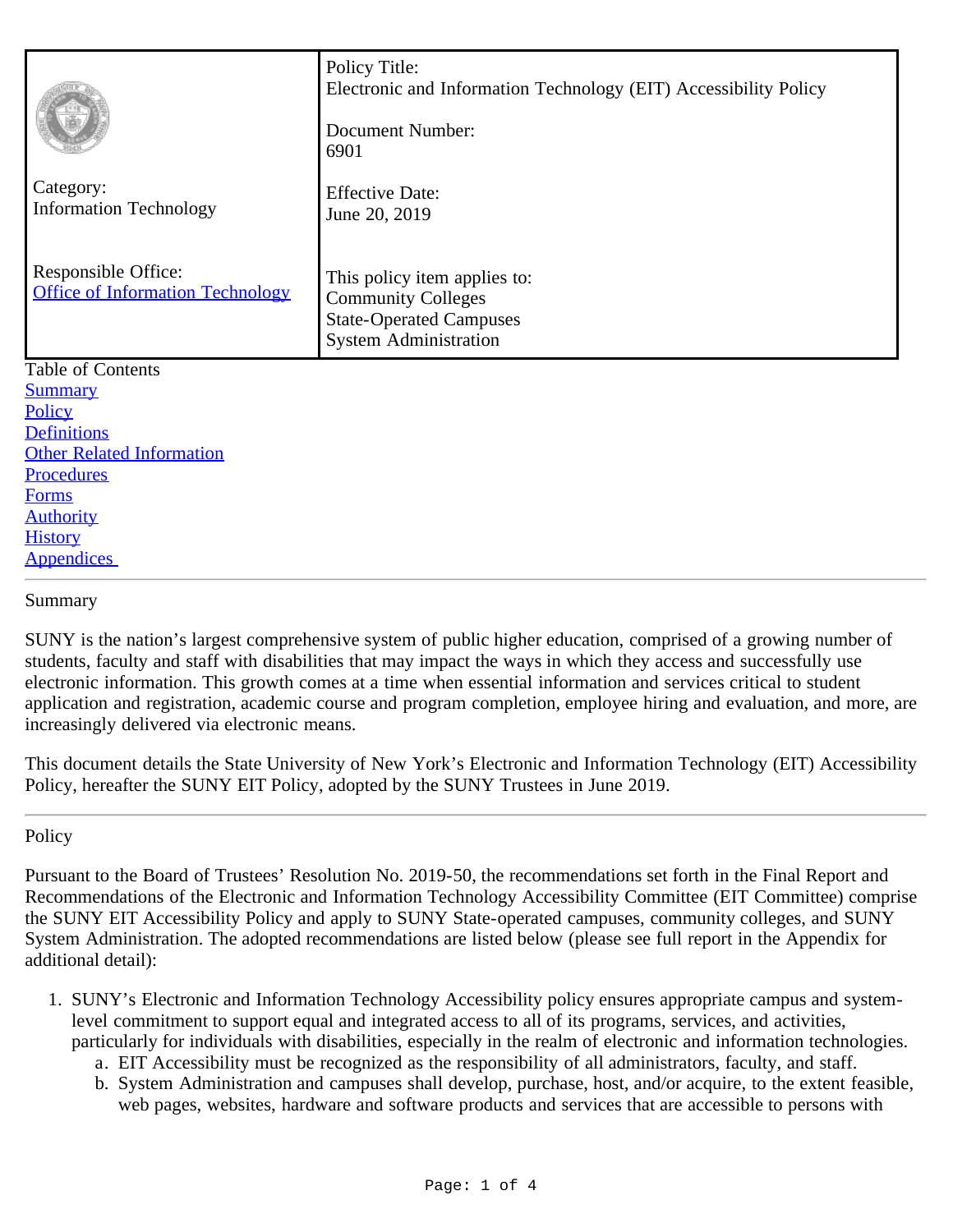|                                                                | Policy Title:<br>Electronic and Information Technology (EIT) Accessibility Policy<br><b>Document Number:</b><br>6901        |
|----------------------------------------------------------------|-----------------------------------------------------------------------------------------------------------------------------|
| Category:<br><b>Information Technology</b>                     | <b>Effective Date:</b><br>June 20, 2019                                                                                     |
| Responsible Office:<br><b>Office of Information Technology</b> | This policy item applies to:<br><b>Community Colleges</b><br><b>State-Operated Campuses</b><br><b>System Administration</b> |
| Table of Contents                                              |                                                                                                                             |
| <b>Summary</b>                                                 |                                                                                                                             |
| Policy                                                         |                                                                                                                             |
| <b>Definitions</b>                                             |                                                                                                                             |
| <b>Other Related Information</b>                               |                                                                                                                             |
| Procedures                                                     |                                                                                                                             |
| <b>Forms</b>                                                   |                                                                                                                             |
| <b>Authority</b>                                               |                                                                                                                             |
| <b>History</b>                                                 |                                                                                                                             |
| <b>Appendices</b>                                              |                                                                                                                             |

<span id="page-0-0"></span>Summary

SUNY is the nation's largest comprehensive system of public higher education, comprised of a growing number of students, faculty and staff with disabilities that may impact the ways in which they access and successfully use electronic information. This growth comes at a time when essential information and services critical to student application and registration, academic course and program completion, employee hiring and evaluation, and more, are increasingly delivered via electronic means.

This document details the State University of New York's Electronic and Information Technology (EIT) Accessibility Policy, hereafter the SUNY EIT Policy, adopted by the SUNY Trustees in June 2019.

## <span id="page-0-1"></span>**Policy**

Pursuant to the Board of Trustees' Resolution No. 2019-50, the recommendations set forth in the Final Report and Recommendations of the Electronic and Information Technology Accessibility Committee (EIT Committee) comprise the SUNY EIT Accessibility Policy and apply to SUNY State-operated campuses, community colleges, and SUNY System Administration. The adopted recommendations are listed below (please see full report in the Appendix for additional detail):

- 1. SUNY's Electronic and Information Technology Accessibility policy ensures appropriate campus and systemlevel commitment to support equal and integrated access to all of its programs, services, and activities, particularly for individuals with disabilities, especially in the realm of electronic and information technologies.
	- a. EIT Accessibility must be recognized as the responsibility of all administrators, faculty, and staff.
	- b. System Administration and campuses shall develop, purchase, host, and/or acquire, to the extent feasible, web pages, websites, hardware and software products and services that are accessible to persons with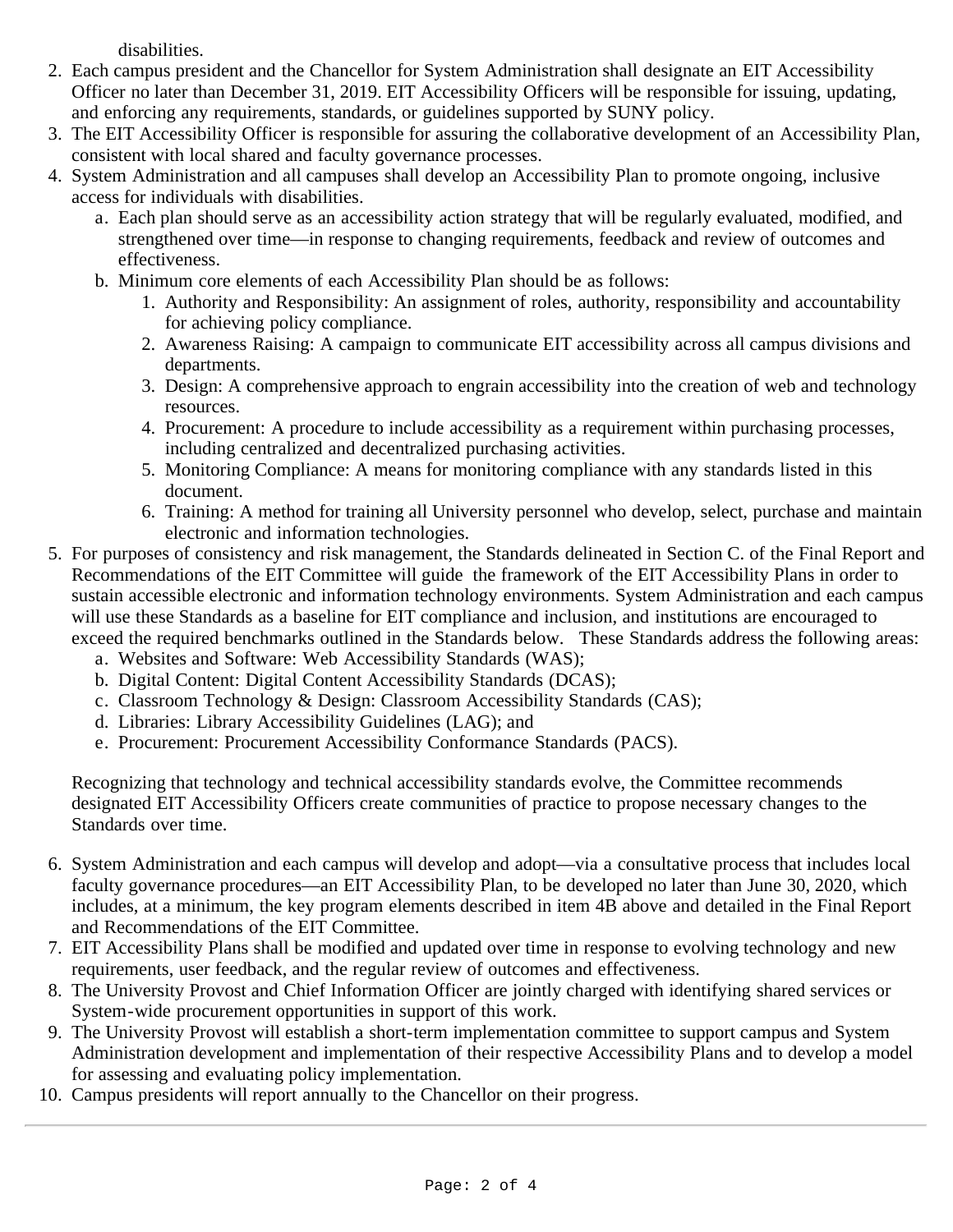disabilities.

- 2. Each campus president and the Chancellor for System Administration shall designate an EIT Accessibility Officer no later than December 31, 2019. EIT Accessibility Officers will be responsible for issuing, updating, and enforcing any requirements, standards, or guidelines supported by SUNY policy.
- 3. The EIT Accessibility Officer is responsible for assuring the collaborative development of an Accessibility Plan, consistent with local shared and faculty governance processes.
- 4. System Administration and all campuses shall develop an Accessibility Plan to promote ongoing, inclusive access for individuals with disabilities.
	- a. Each plan should serve as an accessibility action strategy that will be regularly evaluated, modified, and strengthened over time—in response to changing requirements, feedback and review of outcomes and effectiveness.
	- b. Minimum core elements of each Accessibility Plan should be as follows:
		- 1. Authority and Responsibility: An assignment of roles, authority, responsibility and accountability for achieving policy compliance.
		- 2. Awareness Raising: A campaign to communicate EIT accessibility across all campus divisions and departments.
		- 3. Design: A comprehensive approach to engrain accessibility into the creation of web and technology resources.
		- 4. Procurement: A procedure to include accessibility as a requirement within purchasing processes, including centralized and decentralized purchasing activities.
		- 5. Monitoring Compliance: A means for monitoring compliance with any standards listed in this document.
		- 6. Training: A method for training all University personnel who develop, select, purchase and maintain electronic and information technologies.
- 5. For purposes of consistency and risk management, the Standards delineated in Section C. of the Final Report and Recommendations of the EIT Committee will guide the framework of the EIT Accessibility Plans in order to sustain accessible electronic and information technology environments. System Administration and each campus will use these Standards as a baseline for EIT compliance and inclusion, and institutions are encouraged to exceed the required benchmarks outlined in the Standards below. These Standards address the following areas:
	- a. Websites and Software: Web Accessibility Standards (WAS);
	- b. Digital Content: Digital Content Accessibility Standards (DCAS);
	- c. Classroom Technology & Design: Classroom Accessibility Standards (CAS);
	- d. Libraries: Library Accessibility Guidelines (LAG); and
	- e. Procurement: Procurement Accessibility Conformance Standards (PACS).

Recognizing that technology and technical accessibility standards evolve, the Committee recommends designated EIT Accessibility Officers create communities of practice to propose necessary changes to the Standards over time.

- 6. System Administration and each campus will develop and adopt—via a consultative process that includes local faculty governance procedures—an EIT Accessibility Plan, to be developed no later than June 30, 2020, which includes, at a minimum, the key program elements described in item 4B above and detailed in the Final Report and Recommendations of the EIT Committee.
- 7. EIT Accessibility Plans shall be modified and updated over time in response to evolving technology and new requirements, user feedback, and the regular review of outcomes and effectiveness.
- 8. The University Provost and Chief Information Officer are jointly charged with identifying shared services or System-wide procurement opportunities in support of this work.
- 9. The University Provost will establish a short-term implementation committee to support campus and System Administration development and implementation of their respective Accessibility Plans and to develop a model for assessing and evaluating policy implementation.
- 10. Campus presidents will report annually to the Chancellor on their progress.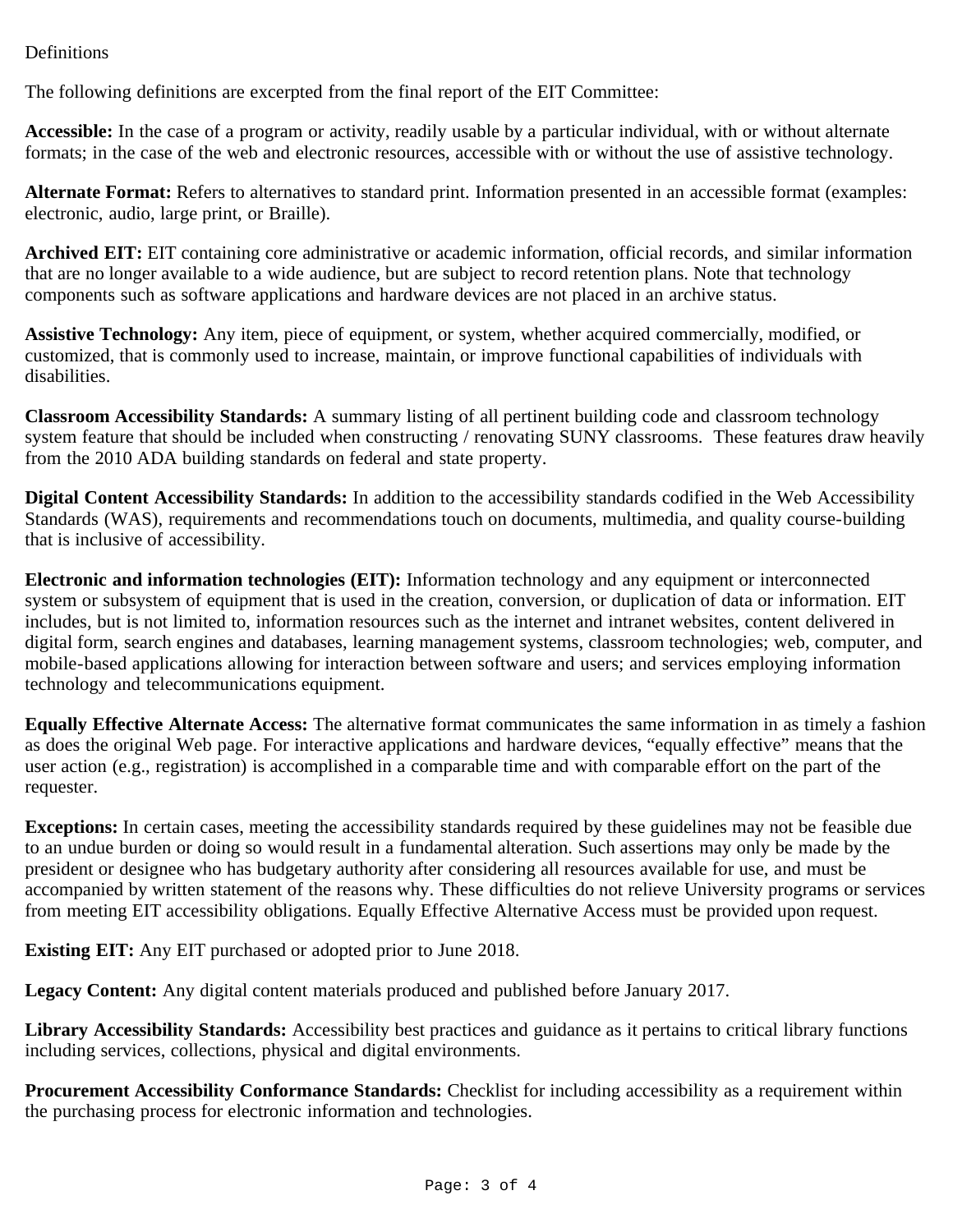## <span id="page-2-0"></span>Definitions

The following definitions are excerpted from the final report of the EIT Committee:

**Accessible:** In the case of a program or activity, readily usable by a particular individual, with or without alternate formats; in the case of the web and electronic resources, accessible with or without the use of assistive technology.

**Alternate Format:** Refers to alternatives to standard print. Information presented in an accessible format (examples: electronic, audio, large print, or Braille).

**Archived EIT:** EIT containing core administrative or academic information, official records, and similar information that are no longer available to a wide audience, but are subject to record retention plans. Note that technology components such as software applications and hardware devices are not placed in an archive status.

**Assistive Technology:** Any item, piece of equipment, or system, whether acquired commercially, modified, or customized, that is commonly used to increase, maintain, or improve functional capabilities of individuals with disabilities.

**Classroom Accessibility Standards:** A summary listing of all pertinent building code and classroom technology system feature that should be included when constructing / renovating SUNY classrooms. These features draw heavily from the 2010 ADA building standards on federal and state property.

**Digital Content Accessibility Standards:** In addition to the accessibility standards codified in the Web Accessibility Standards (WAS), requirements and recommendations touch on documents, multimedia, and quality course-building that is inclusive of accessibility.

**Electronic and information technologies (EIT):** Information technology and any equipment or interconnected system or subsystem of equipment that is used in the creation, conversion, or duplication of data or information. EIT includes, but is not limited to, information resources such as the internet and intranet websites, content delivered in digital form, search engines and databases, learning management systems, classroom technologies; web, computer, and mobile-based applications allowing for interaction between software and users; and services employing information technology and telecommunications equipment.

**Equally Effective Alternate Access:** The alternative format communicates the same information in as timely a fashion as does the original Web page. For interactive applications and hardware devices, "equally effective" means that the user action (e.g., registration) is accomplished in a comparable time and with comparable effort on the part of the requester.

**Exceptions:** In certain cases, meeting the accessibility standards required by these guidelines may not be feasible due to an undue burden or doing so would result in a fundamental alteration. Such assertions may only be made by the president or designee who has budgetary authority after considering all resources available for use, and must be accompanied by written statement of the reasons why. These difficulties do not relieve University programs or services from meeting EIT accessibility obligations. Equally Effective Alternative Access must be provided upon request.

**Existing EIT:** Any EIT purchased or adopted prior to June 2018.

**Legacy Content:** Any digital content materials produced and published before January 2017.

**Library Accessibility Standards:** Accessibility best practices and guidance as it pertains to critical library functions including services, collections, physical and digital environments.

**Procurement Accessibility Conformance Standards:** Checklist for including accessibility as a requirement within the purchasing process for electronic information and technologies.